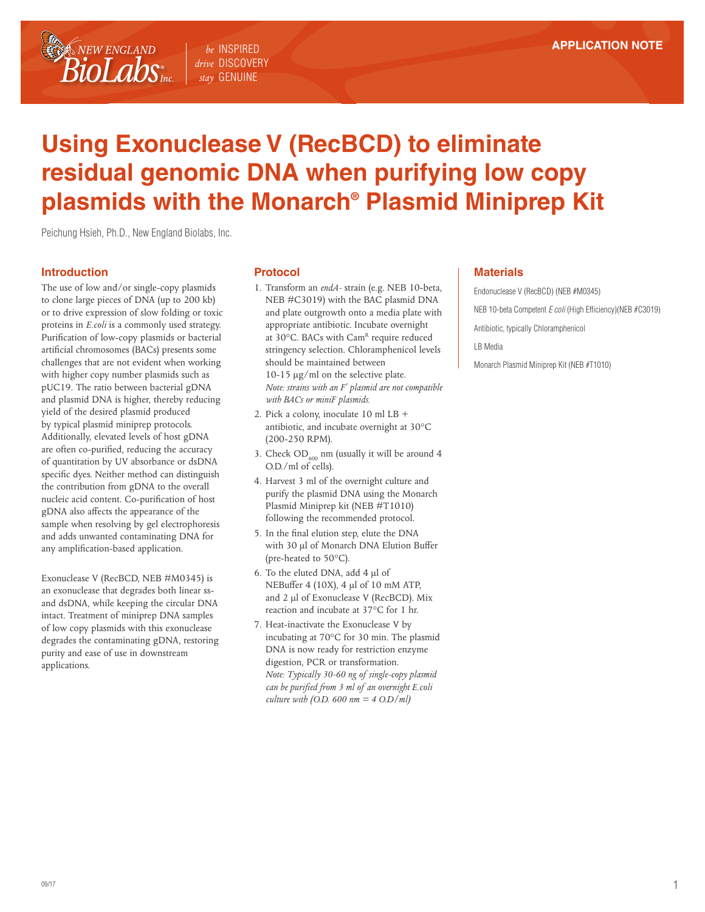# **Using Exonuclease V (RecBCD) to eliminate residual genomic DNA when purifying low copy plasmids with the Monarch® Plasmid Miniprep Kit**

Peichung Hsieh, Ph.D., New England Biolabs, Inc.

### **Introduction**

NEW ENGLAND

 $\mathit{Biolabs}_{\scriptscriptstyle\rm mc}$ 

The use of low and/or single-copy plasmids to clone large pieces of DNA (up to 200 kb) or to drive expression of slow folding or toxic proteins in *E.coli* is a commonly used strategy. Purification of low-copy plasmids or bacterial artificial chromosomes (BACs) presents some challenges that are not evident when working with higher copy number plasmids such as pUC19. The ratio between bacterial gDNA and plasmid DNA is higher, thereby reducing yield of the desired plasmid produced by typical plasmid miniprep protocols. Additionally, elevated levels of host gDNA are often co-purified, reducing the accuracy of quantitation by UV absorbance or dsDNA specific dyes. Neither method can distinguish the contribution from gDNA to the overall nucleic acid content. Co-purification of host gDNA also affects the appearance of the sample when resolving by gel electrophoresis and adds unwanted contaminating DNA for any amplification-based application.

Exonuclease V (RecBCD, NEB #M0345) is an exonuclease that degrades both linear ssand dsDNA, while keeping the circular DNA intact. Treatment of miniprep DNA samples of low copy plasmids with this exonuclease degrades the contaminating gDNA, restoring purity and ease of use in downstream applications.

### **Protocol**

*be* INSPIRED *drive* DISCOVERY *stay* GENUINE

- 1. Transform an *endA-* strain (e.g. NEB 10-beta, NEB #C3019) with the BAC plasmid DNA and plate outgrowth onto a media plate with appropriate antibiotic. Incubate overnight at 30°C. BACs with Cam<sup>R</sup> require reduced stringency selection. Chloramphenicol levels should be maintained between 10-15 μg/ml on the selective plate. *Note: strains with an F' plasmid are not compatible with BACs or miniF plasmids.*
- 2. Pick a colony, inoculate 10 ml LB + antibiotic, and incubate overnight at 30°C (200-250 RPM).
- 3. Check  $OD_{600}$  nm (usually it will be around 4 O.D./ml of cells).
- 4. Harvest 3 ml of the overnight culture and purify the plasmid DNA using the Monarch Plasmid Miniprep kit (NEB #T1010) following the recommended protocol.
- 5. In the final elution step, elute the DNA with 30 μl of Monarch DNA Elution Buffer (pre-heated to 50°C).
- 6. To the eluted DNA, add 4 μl of NEBuffer 4 (10X), 4 μl of 10 mM ATP, and 2 μl of Exonuclease V (RecBCD). Mix reaction and incubate at 37°C for 1 hr.
- 7. Heat-inactivate the Exonuclease V by incubating at 70°C for 30 min. The plasmid DNA is now ready for restriction enzyme digestion, PCR or transformation. *Note: Typically 30-60 ng of single-copy plasmid can be purified from 3 ml of an overnight E.coli culture with (O.D. 600 nm = 4 O.D/ml)*

## **Materials**

Endonuclease V (RecBCD) (NEB #M0345) NEB 10-beta Competent *E coli* (High Efficiency)(NEB #C3019) Antibiotic, typically Chloramphenicol LB Media Monarch Plasmid Miniprep Kit (NEB #T1010)